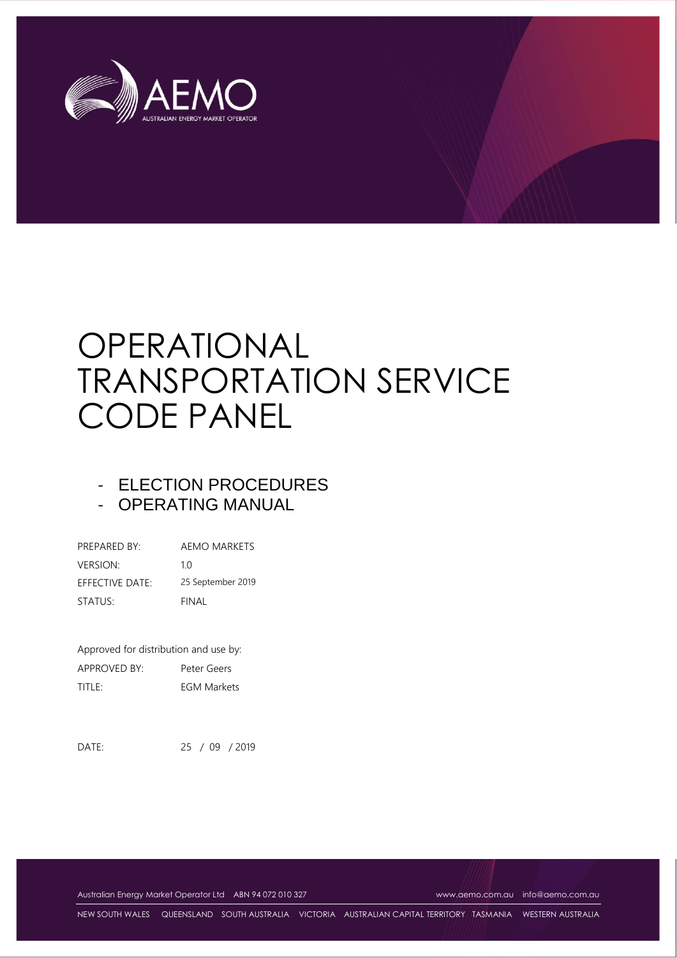

# OPERATIONAL TRANSPORTATION SERVICE CODE PANEL

# - ELECTION PROCEDURES

- OPERATING MANUAL

| PREPARED BY:    | AEMO MARKETS      |
|-----------------|-------------------|
| <b>VERSION:</b> | 1 O               |
| EFFECTIVE DATE: | 25 September 2019 |
| STATUS:         | FINAL             |

Approved for distribution and use by: APPROVED BY: Peter Geers TITLE: EGM Markets

DATE: 25 / 09 / 2019

Australian Energy Market Operator Ltd ABN 94 072 010 327 [www.aemo.com.au](http://www.aemo.com.au/) [info@aemo.com.au](mailto:info@aemo.com.au) info@aemo.com.au

NEW SOUTH WALES QUEENSLAND SOUTH AUSTRALIA VICTORIA AUSTRALIAN CAPITAL TERRITORY TASMANIA WESTERN AUSTRALIA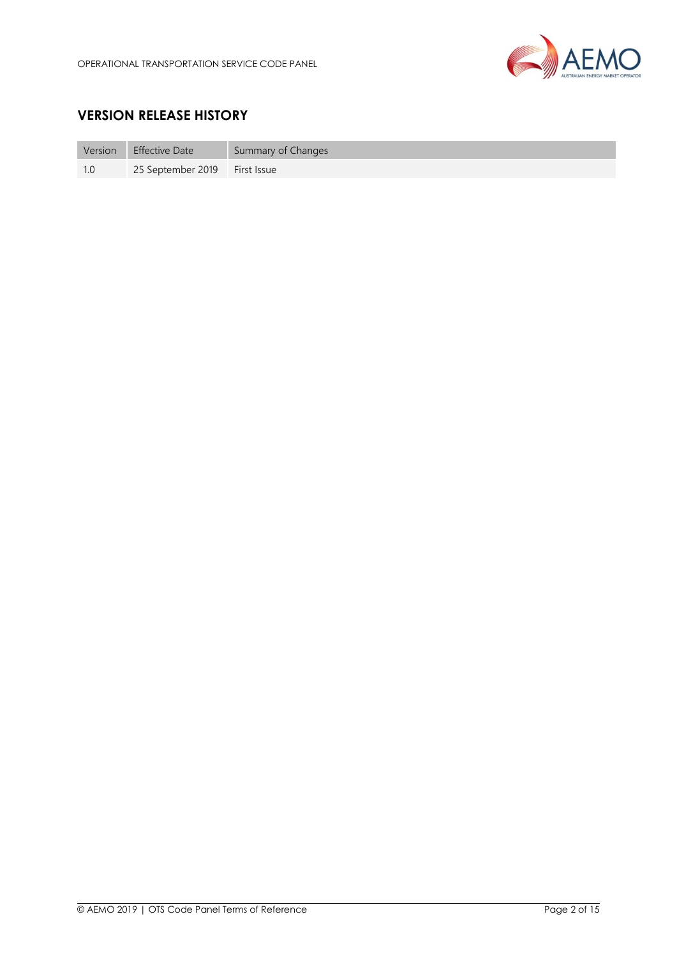

# **VERSION RELEASE HISTORY**

| Version | <b>Effective Date</b>         | Summary of Changes |
|---------|-------------------------------|--------------------|
|         | 25 September 2019 First Issue |                    |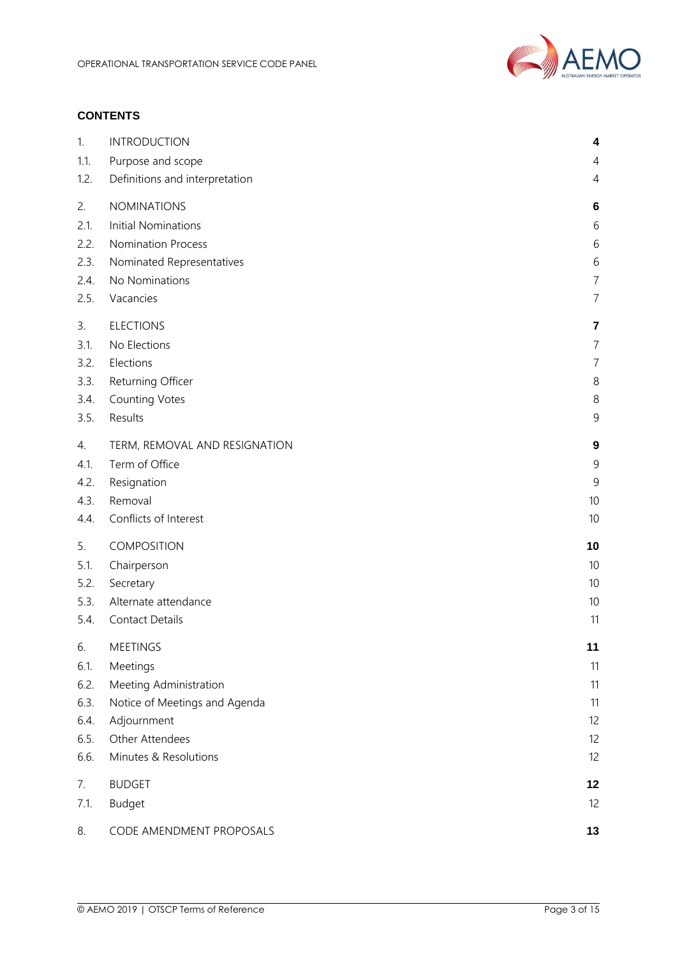

#### **CONTENTS**

| 1.   | <b>INTRODUCTION</b>            | 4              |
|------|--------------------------------|----------------|
| 1.1. | Purpose and scope              | 4              |
| 1.2. | Definitions and interpretation | 4              |
| 2.   | <b>NOMINATIONS</b>             | 6              |
| 2.1. | <b>Initial Nominations</b>     | 6              |
| 2.2. | <b>Nomination Process</b>      | 6              |
| 2.3. | Nominated Representatives      | 6              |
| 2.4. | No Nominations                 | $\overline{7}$ |
| 2.5. | Vacancies                      | $\overline{7}$ |
| 3.   | <b>ELECTIONS</b>               | $\overline{7}$ |
| 3.1. | No Elections                   | $\overline{7}$ |
| 3.2. | Elections                      | $\overline{7}$ |
| 3.3. | Returning Officer              | 8              |
| 3.4. | <b>Counting Votes</b>          | 8              |
| 3.5. | Results                        | $\mathsf 9$    |
| 4.   | TERM, REMOVAL AND RESIGNATION  | 9              |
| 4.1. | Term of Office                 | 9              |
| 4.2. | Resignation                    | $\mathsf 9$    |
| 4.3. | Removal                        | 10             |
| 4.4. | Conflicts of Interest          | 10             |
| 5.   | COMPOSITION                    | 10             |
| 5.1. | Chairperson                    | 10             |
| 5.2. | Secretary                      | 10             |
| 5.3. | Alternate attendance           | 10             |
| 5.4. | <b>Contact Details</b>         | 11             |
| 6.   | <b>MEETINGS</b>                | 11             |
| 6.1. | Meetings                       | 11             |
| 6.2. | Meeting Administration         | 11             |
| 6.3. | Notice of Meetings and Agenda  | 11             |
| 6.4. | Adjournment                    | 12             |
| 6.5. | Other Attendees                | 12             |
| 6.6. | Minutes & Resolutions          | 12             |
| 7.   | <b>BUDGET</b>                  | 12             |
| 7.1. | <b>Budget</b>                  | 12             |
| 8.   | CODE AMENDMENT PROPOSALS       | 13             |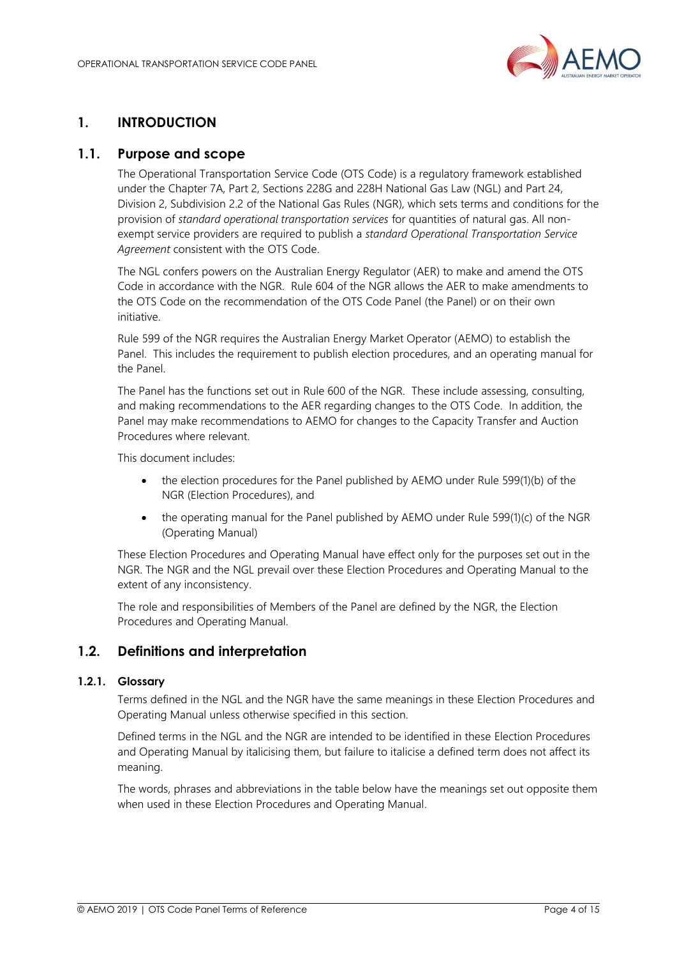

# <span id="page-3-0"></span>**1. INTRODUCTION**

#### <span id="page-3-1"></span>**1.1. Purpose and scope**

The Operational Transportation Service Code (OTS Code) is a regulatory framework established under the Chapter 7A, Part 2, Sections 228G and 228H National Gas Law (NGL) and Part 24, Division 2, Subdivision 2.2 of the National Gas Rules (NGR), which sets terms and conditions for the provision of *standard operational transportation services* for quantities of natural gas. All nonexempt service providers are required to publish a *standard Operational Transportation Service Agreement* consistent with the OTS Code.

The NGL confers powers on the Australian Energy Regulator (AER) to make and amend the OTS Code in accordance with the NGR. Rule 604 of the NGR allows the AER to make amendments to the OTS Code on the recommendation of the OTS Code Panel (the Panel) or on their own initiative.

Rule 599 of the NGR requires the Australian Energy Market Operator (AEMO) to establish the Panel. This includes the requirement to publish election procedures, and an operating manual for the Panel.

The Panel has the functions set out in Rule 600 of the NGR. These include assessing, consulting, and making recommendations to the AER regarding changes to the OTS Code. In addition, the Panel may make recommendations to AEMO for changes to the Capacity Transfer and Auction Procedures where relevant.

This document includes:

- the election procedures for the Panel published by AEMO under Rule 599(1)(b) of the NGR (Election Procedures), and
- the operating manual for the Panel published by AEMO under Rule 599(1)(c) of the NGR (Operating Manual)

These Election Procedures and Operating Manual have effect only for the purposes set out in the NGR. The NGR and the NGL prevail over these Election Procedures and Operating Manual to the extent of any inconsistency.

The role and responsibilities of Members of the Panel are defined by the NGR, the Election Procedures and Operating Manual.

#### <span id="page-3-2"></span>**1.2. Definitions and interpretation**

#### **1.2.1. Glossary**

Terms defined in the NGL and the NGR have the same meanings in these Election Procedures and Operating Manual unless otherwise specified in this section.

Defined terms in the NGL and the NGR are intended to be identified in these Election Procedures and Operating Manual by italicising them, but failure to italicise a defined term does not affect its meaning.

The words, phrases and abbreviations in the table below have the meanings set out opposite them when used in these Election Procedures and Operating Manual.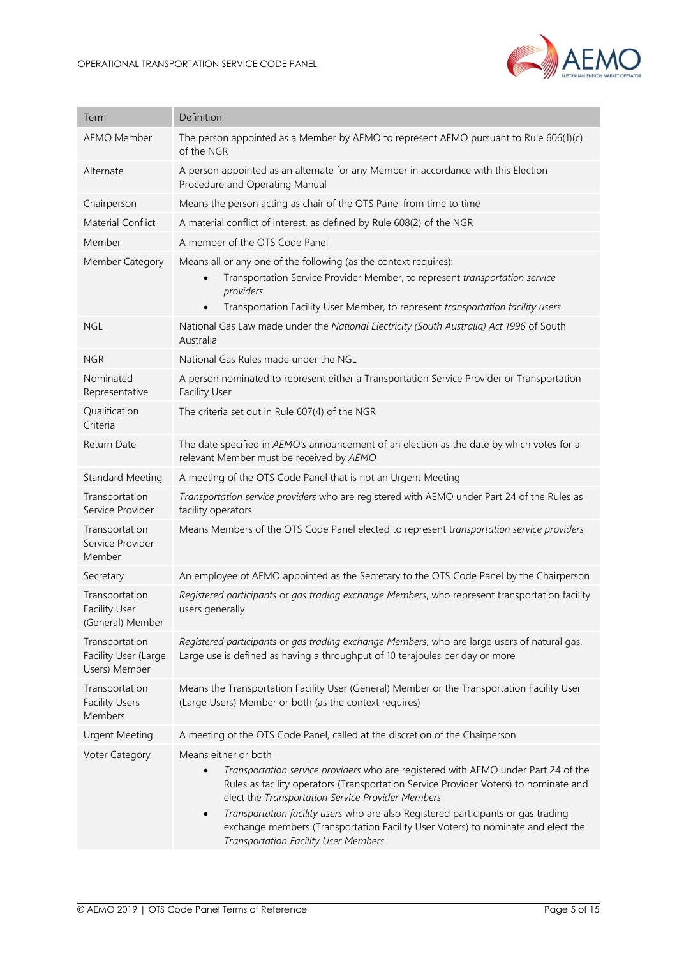

| Term                                                       | Definition                                                                                                                                                                                                                                                                                                                                                                                                                                                                                         |
|------------------------------------------------------------|----------------------------------------------------------------------------------------------------------------------------------------------------------------------------------------------------------------------------------------------------------------------------------------------------------------------------------------------------------------------------------------------------------------------------------------------------------------------------------------------------|
| <b>AEMO Member</b>                                         | The person appointed as a Member by AEMO to represent AEMO pursuant to Rule 606(1)(c)<br>of the NGR                                                                                                                                                                                                                                                                                                                                                                                                |
| Alternate                                                  | A person appointed as an alternate for any Member in accordance with this Election<br>Procedure and Operating Manual                                                                                                                                                                                                                                                                                                                                                                               |
| Chairperson                                                | Means the person acting as chair of the OTS Panel from time to time                                                                                                                                                                                                                                                                                                                                                                                                                                |
| Material Conflict                                          | A material conflict of interest, as defined by Rule 608(2) of the NGR                                                                                                                                                                                                                                                                                                                                                                                                                              |
| Member                                                     | A member of the OTS Code Panel                                                                                                                                                                                                                                                                                                                                                                                                                                                                     |
| Member Category                                            | Means all or any one of the following (as the context requires):<br>Transportation Service Provider Member, to represent transportation service<br>$\bullet$<br>providers<br>Transportation Facility User Member, to represent transportation facility users<br>$\bullet$                                                                                                                                                                                                                          |
| <b>NGL</b>                                                 | National Gas Law made under the National Electricity (South Australia) Act 1996 of South<br>Australia                                                                                                                                                                                                                                                                                                                                                                                              |
| <b>NGR</b>                                                 | National Gas Rules made under the NGL                                                                                                                                                                                                                                                                                                                                                                                                                                                              |
| Nominated<br>Representative                                | A person nominated to represent either a Transportation Service Provider or Transportation<br><b>Facility User</b>                                                                                                                                                                                                                                                                                                                                                                                 |
| Qualification<br>Criteria                                  | The criteria set out in Rule 607(4) of the NGR                                                                                                                                                                                                                                                                                                                                                                                                                                                     |
| Return Date                                                | The date specified in AEMO's announcement of an election as the date by which votes for a<br>relevant Member must be received by AEMO                                                                                                                                                                                                                                                                                                                                                              |
| <b>Standard Meeting</b>                                    | A meeting of the OTS Code Panel that is not an Urgent Meeting                                                                                                                                                                                                                                                                                                                                                                                                                                      |
| Transportation<br>Service Provider                         | Transportation service providers who are registered with AEMO under Part 24 of the Rules as<br>facility operators.                                                                                                                                                                                                                                                                                                                                                                                 |
| Transportation<br>Service Provider<br>Member               | Means Members of the OTS Code Panel elected to represent transportation service providers                                                                                                                                                                                                                                                                                                                                                                                                          |
| Secretary                                                  | An employee of AEMO appointed as the Secretary to the OTS Code Panel by the Chairperson                                                                                                                                                                                                                                                                                                                                                                                                            |
| Transportation<br><b>Facility User</b><br>(General) Member | Registered participants or gas trading exchange Members, who represent transportation facility<br>users generally                                                                                                                                                                                                                                                                                                                                                                                  |
| Transportation<br>Facility User (Large<br>Users) Member    | Registered participants or gas trading exchange Members, who are large users of natural gas.<br>Large use is defined as having a throughput of 10 terajoules per day or more                                                                                                                                                                                                                                                                                                                       |
| Transportation<br><b>Facility Users</b><br>Members         | Means the Transportation Facility User (General) Member or the Transportation Facility User<br>(Large Users) Member or both (as the context requires)                                                                                                                                                                                                                                                                                                                                              |
| <b>Urgent Meeting</b>                                      | A meeting of the OTS Code Panel, called at the discretion of the Chairperson                                                                                                                                                                                                                                                                                                                                                                                                                       |
| Voter Category                                             | Means either or both<br>Transportation service providers who are registered with AEMO under Part 24 of the<br>$\bullet$<br>Rules as facility operators (Transportation Service Provider Voters) to nominate and<br>elect the Transportation Service Provider Members<br>Transportation facility users who are also Registered participants or gas trading<br>$\bullet$<br>exchange members (Transportation Facility User Voters) to nominate and elect the<br>Transportation Facility User Members |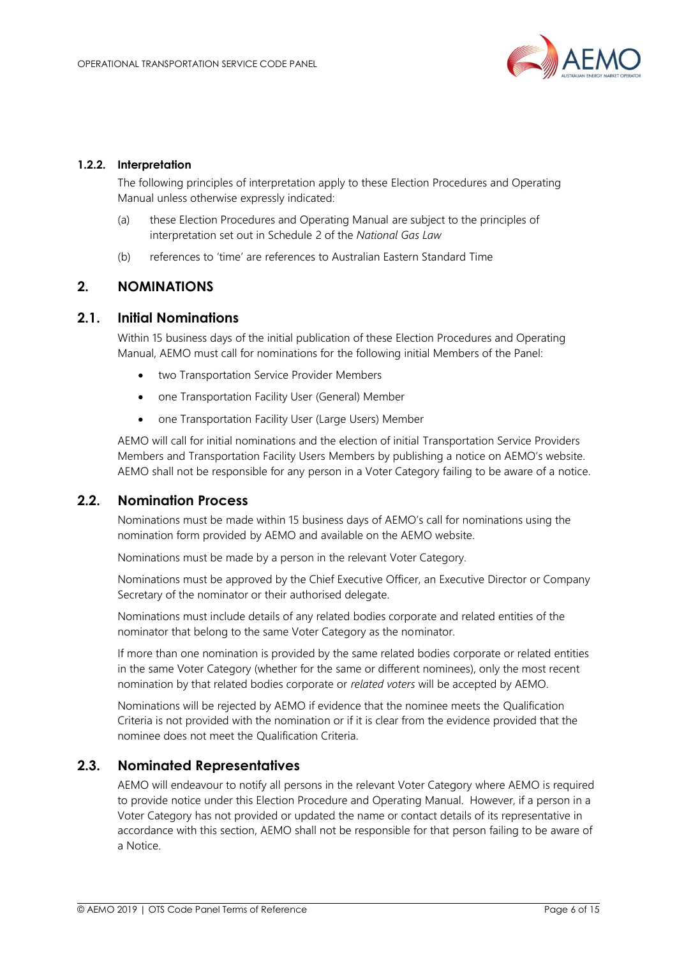

#### **1.2.2. Interpretation**

The following principles of interpretation apply to these Election Procedures and Operating Manual unless otherwise expressly indicated:

- (a) these Election Procedures and Operating Manual are subject to the principles of interpretation set out in Schedule 2 of the *National Gas Law*
- (b) references to 'time' are references to Australian Eastern Standard Time

#### <span id="page-5-0"></span>**2. NOMINATIONS**

#### <span id="page-5-1"></span>**2.1. Initial Nominations**

Within 15 business days of the initial publication of these Election Procedures and Operating Manual, AEMO must call for nominations for the following initial Members of the Panel:

- two Transportation Service Provider Members
- one Transportation Facility User (General) Member
- one Transportation Facility User (Large Users) Member

AEMO will call for initial nominations and the election of initial Transportation Service Providers Members and Transportation Facility Users Members by publishing a notice on AEMO's website. AEMO shall not be responsible for any person in a Voter Category failing to be aware of a notice.

#### <span id="page-5-2"></span>**2.2. Nomination Process**

Nominations must be made within 15 business days of AEMO's call for nominations using the nomination form provided by AEMO and available on the AEMO website.

Nominations must be made by a person in the relevant Voter Category.

Nominations must be approved by the Chief Executive Officer, an Executive Director or Company Secretary of the nominator or their authorised delegate.

Nominations must include details of any related bodies corporate and related entities of the nominator that belong to the same Voter Category as the nominator.

If more than one nomination is provided by the same related bodies corporate or related entities in the same Voter Category (whether for the same or different nominees), only the most recent nomination by that related bodies corporate or *related voters* will be accepted by AEMO.

Nominations will be rejected by AEMO if evidence that the nominee meets the Qualification Criteria is not provided with the nomination or if it is clear from the evidence provided that the nominee does not meet the Qualification Criteria.

#### <span id="page-5-3"></span>**2.3. Nominated Representatives**

AEMO will endeavour to notify all persons in the relevant Voter Category where AEMO is required to provide notice under this Election Procedure and Operating Manual. However, if a person in a Voter Category has not provided or updated the name or contact details of its representative in accordance with this section, AEMO shall not be responsible for that person failing to be aware of a Notice.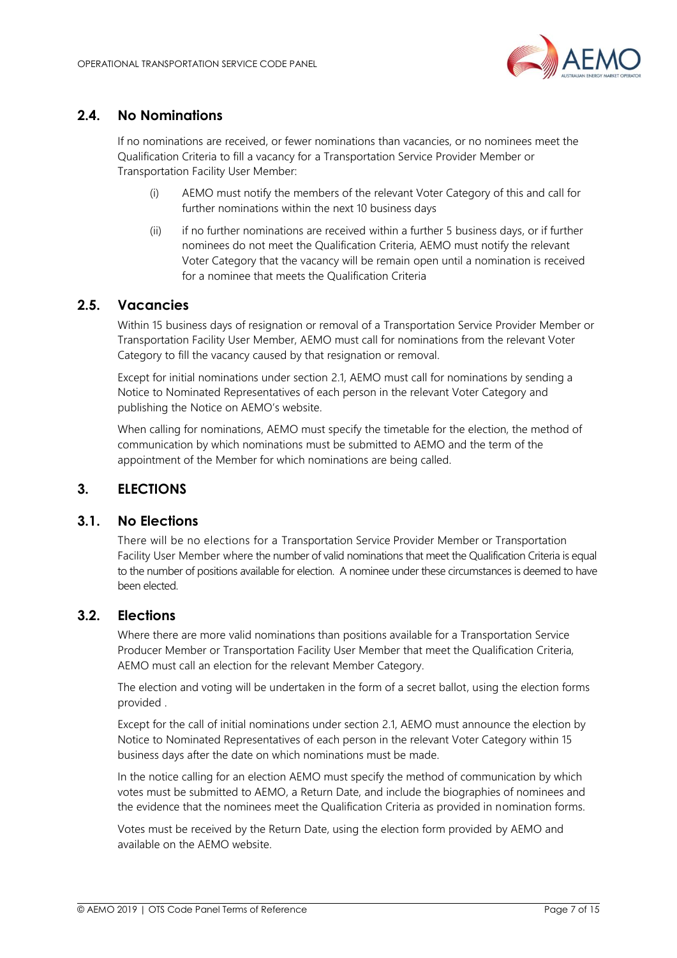

# <span id="page-6-0"></span>**2.4. No Nominations**

If no nominations are received, or fewer nominations than vacancies, or no nominees meet the Qualification Criteria to fill a vacancy for a Transportation Service Provider Member or Transportation Facility User Member:

- (i) AEMO must notify the members of the relevant Voter Category of this and call for further nominations within the next 10 business days
- (ii) if no further nominations are received within a further 5 business days, or if further nominees do not meet the Qualification Criteria, AEMO must notify the relevant Voter Category that the vacancy will be remain open until a nomination is received for a nominee that meets the Qualification Criteria

#### <span id="page-6-1"></span>**2.5. Vacancies**

Within 15 business days of resignation or removal of a Transportation Service Provider Member or Transportation Facility User Member, AEMO must call for nominations from the relevant Voter Category to fill the vacancy caused by that resignation or removal.

Except for initial nominations under section 2.1, AEMO must call for nominations by sending a Notice to Nominated Representatives of each person in the relevant Voter Category and publishing the Notice on AEMO's website.

When calling for nominations, AEMO must specify the timetable for the election, the method of communication by which nominations must be submitted to AEMO and the term of the appointment of the Member for which nominations are being called.

#### <span id="page-6-2"></span>**3. ELECTIONS**

#### <span id="page-6-3"></span>**3.1. No Elections**

There will be no elections for a Transportation Service Provider Member or Transportation Facility User Member where the number of valid nominations that meet the Qualification Criteria is equal to the number of positions available for election. A nominee under these circumstances is deemed to have been elected.

#### <span id="page-6-4"></span>**3.2. Elections**

Where there are more valid nominations than positions available for a Transportation Service Producer Member or Transportation Facility User Member that meet the Qualification Criteria, AEMO must call an election for the relevant Member Category.

The election and voting will be undertaken in the form of a secret ballot, using the election forms provided .

Except for the call of initial nominations under section 2.1, AEMO must announce the election by Notice to Nominated Representatives of each person in the relevant Voter Category within 15 business days after the date on which nominations must be made.

In the notice calling for an election AEMO must specify the method of communication by which votes must be submitted to AEMO, a Return Date, and include the biographies of nominees and the evidence that the nominees meet the Qualification Criteria as provided in nomination forms.

Votes must be received by the Return Date, using the election form provided by AEMO and available on the AEMO website.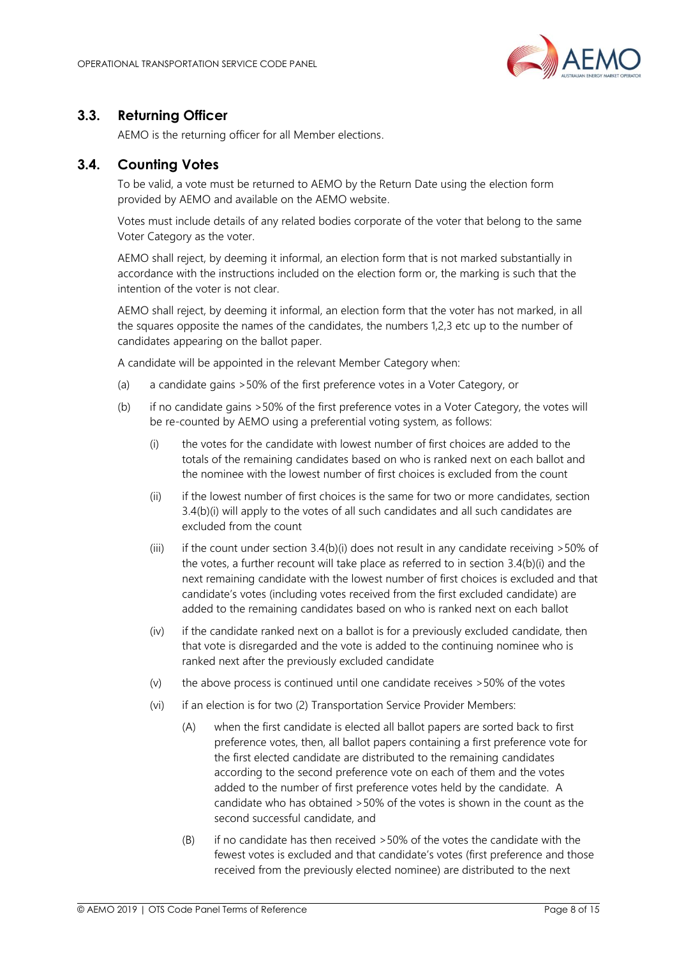

# <span id="page-7-0"></span>**3.3. Returning Officer**

AEMO is the returning officer for all Member elections.

# <span id="page-7-1"></span>**3.4. Counting Votes**

To be valid, a vote must be returned to AEMO by the Return Date using the election form provided by AEMO and available on the AEMO website.

Votes must include details of any related bodies corporate of the voter that belong to the same Voter Category as the voter.

AEMO shall reject, by deeming it informal, an election form that is not marked substantially in accordance with the instructions included on the election form or, the marking is such that the intention of the voter is not clear.

AEMO shall reject, by deeming it informal, an election form that the voter has not marked, in all the squares opposite the names of the candidates, the numbers 1,2,3 etc up to the number of candidates appearing on the ballot paper.

A candidate will be appointed in the relevant Member Category when:

- (a) a candidate gains >50% of the first preference votes in a Voter Category, or
- (b) if no candidate gains >50% of the first preference votes in a Voter Category, the votes will be re-counted by AEMO using a preferential voting system, as follows:
	- (i) the votes for the candidate with lowest number of first choices are added to the totals of the remaining candidates based on who is ranked next on each ballot and the nominee with the lowest number of first choices is excluded from the count
	- (ii) if the lowest number of first choices is the same for two or more candidates, section 3.4(b)(i) will apply to the votes of all such candidates and all such candidates are excluded from the count
	- (iii) if the count under section  $3.4(b)(i)$  does not result in any candidate receiving  $>50\%$  of the votes, a further recount will take place as referred to in section 3.4(b)(i) and the next remaining candidate with the lowest number of first choices is excluded and that candidate's votes (including votes received from the first excluded candidate) are added to the remaining candidates based on who is ranked next on each ballot
	- (iv) if the candidate ranked next on a ballot is for a previously excluded candidate, then that vote is disregarded and the vote is added to the continuing nominee who is ranked next after the previously excluded candidate
	- (v) the above process is continued until one candidate receives >50% of the votes
	- (vi) if an election is for two (2) Transportation Service Provider Members:
		- (A) when the first candidate is elected all ballot papers are sorted back to first preference votes, then, all ballot papers containing a first preference vote for the first elected candidate are distributed to the remaining candidates according to the second preference vote on each of them and the votes added to the number of first preference votes held by the candidate. A candidate who has obtained >50% of the votes is shown in the count as the second successful candidate, and
		- (B) if no candidate has then received >50% of the votes the candidate with the fewest votes is excluded and that candidate's votes (first preference and those received from the previously elected nominee) are distributed to the next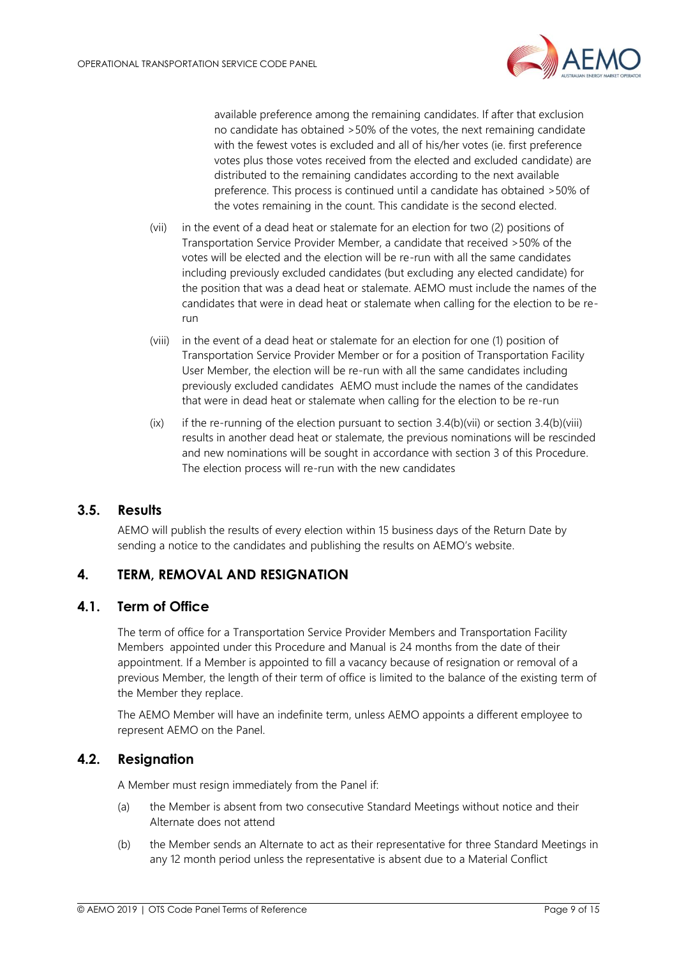

available preference among the remaining candidates. If after that exclusion no candidate has obtained >50% of the votes, the next remaining candidate with the fewest votes is excluded and all of his/her votes (ie. first preference votes plus those votes received from the elected and excluded candidate) are distributed to the remaining candidates according to the next available preference. This process is continued until a candidate has obtained >50% of the votes remaining in the count. This candidate is the second elected.

- (vii) in the event of a dead heat or stalemate for an election for two (2) positions of Transportation Service Provider Member, a candidate that received >50% of the votes will be elected and the election will be re-run with all the same candidates including previously excluded candidates (but excluding any elected candidate) for the position that was a dead heat or stalemate. AEMO must include the names of the candidates that were in dead heat or stalemate when calling for the election to be rerun
- (viii) in the event of a dead heat or stalemate for an election for one (1) position of Transportation Service Provider Member or for a position of Transportation Facility User Member, the election will be re-run with all the same candidates including previously excluded candidates AEMO must include the names of the candidates that were in dead heat or stalemate when calling for the election to be re-run
- (ix) if the re-running of the election pursuant to section 3.4(b)(vii) or section 3.4(b)(viii) results in another dead heat or stalemate, the previous nominations will be rescinded and new nominations will be sought in accordance with section 3 of this Procedure. The election process will re-run with the new candidates

#### <span id="page-8-0"></span>**3.5. Results**

AEMO will publish the results of every election within 15 business days of the Return Date by sending a notice to the candidates and publishing the results on AEMO's website.

# <span id="page-8-1"></span>**4. TERM, REMOVAL AND RESIGNATION**

#### <span id="page-8-2"></span>**4.1. Term of Office**

The term of office for a Transportation Service Provider Members and Transportation Facility Members appointed under this Procedure and Manual is 24 months from the date of their appointment. If a Member is appointed to fill a vacancy because of resignation or removal of a previous Member, the length of their term of office is limited to the balance of the existing term of the Member they replace.

The AEMO Member will have an indefinite term, unless AEMO appoints a different employee to represent AEMO on the Panel.

#### <span id="page-8-3"></span>**4.2. Resignation**

A Member must resign immediately from the Panel if:

- (a) the Member is absent from two consecutive Standard Meetings without notice and their Alternate does not attend
- (b) the Member sends an Alternate to act as their representative for three Standard Meetings in any 12 month period unless the representative is absent due to a Material Conflict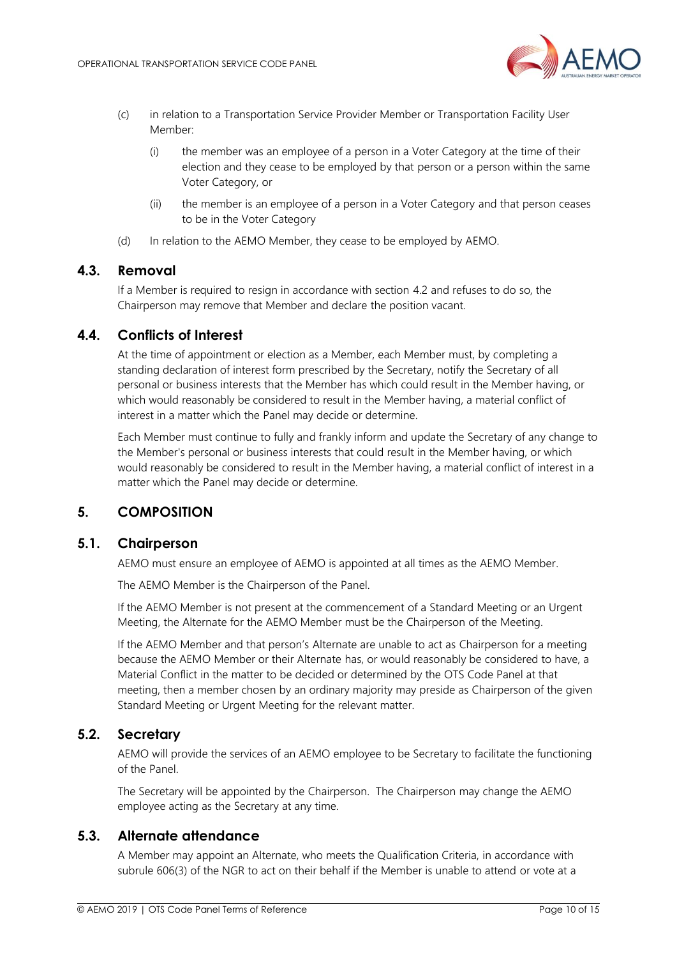

- (c) in relation to a Transportation Service Provider Member or Transportation Facility User Member:
	- (i) the member was an employee of a person in a Voter Category at the time of their election and they cease to be employed by that person or a person within the same Voter Category, or
	- (ii) the member is an employee of a person in a Voter Category and that person ceases to be in the Voter Category
- (d) In relation to the AEMO Member, they cease to be employed by AEMO.

#### <span id="page-9-0"></span>**4.3. Removal**

If a Member is required to resign in accordance with section 4.2 and refuses to do so, the Chairperson may remove that Member and declare the position vacant.

#### <span id="page-9-1"></span>**4.4. Conflicts of Interest**

At the time of appointment or election as a Member, each Member must, by completing a standing declaration of interest form prescribed by the Secretary, notify the Secretary of all personal or business interests that the Member has which could result in the Member having, or which would reasonably be considered to result in the Member having, a material conflict of interest in a matter which the Panel may decide or determine.

Each Member must continue to fully and frankly inform and update the Secretary of any change to the Member's personal or business interests that could result in the Member having, or which would reasonably be considered to result in the Member having, a material conflict of interest in a matter which the Panel may decide or determine.

#### <span id="page-9-2"></span>**5. COMPOSITION**

#### <span id="page-9-3"></span>**5.1. Chairperson**

AEMO must ensure an employee of AEMO is appointed at all times as the AEMO Member.

The AEMO Member is the Chairperson of the Panel.

If the AEMO Member is not present at the commencement of a Standard Meeting or an Urgent Meeting, the Alternate for the AEMO Member must be the Chairperson of the Meeting.

If the AEMO Member and that person's Alternate are unable to act as Chairperson for a meeting because the AEMO Member or their Alternate has, or would reasonably be considered to have, a Material Conflict in the matter to be decided or determined by the OTS Code Panel at that meeting, then a member chosen by an ordinary majority may preside as Chairperson of the given Standard Meeting or Urgent Meeting for the relevant matter.

#### <span id="page-9-4"></span>**5.2. Secretary**

AEMO will provide the services of an AEMO employee to be Secretary to facilitate the functioning of the Panel.

The Secretary will be appointed by the Chairperson. The Chairperson may change the AEMO employee acting as the Secretary at any time.

#### <span id="page-9-5"></span>**5.3. Alternate attendance**

A Member may appoint an Alternate, who meets the Qualification Criteria, in accordance with subrule 606(3) of the NGR to act on their behalf if the Member is unable to attend or vote at a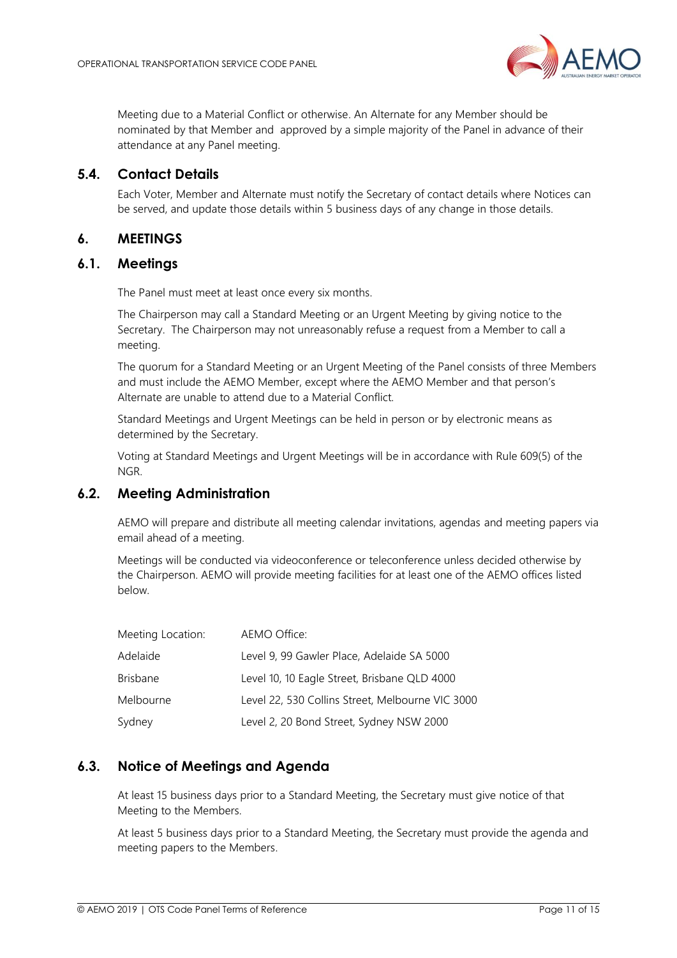

Meeting due to a Material Conflict or otherwise. An Alternate for any Member should be nominated by that Member and approved by a simple majority of the Panel in advance of their attendance at any Panel meeting.

#### <span id="page-10-0"></span>**5.4. Contact Details**

Each Voter, Member and Alternate must notify the Secretary of contact details where Notices can be served, and update those details within 5 business days of any change in those details.

#### <span id="page-10-1"></span>**6. MEETINGS**

#### <span id="page-10-2"></span>**6.1. Meetings**

The Panel must meet at least once every six months.

The Chairperson may call a Standard Meeting or an Urgent Meeting by giving notice to the Secretary. The Chairperson may not unreasonably refuse a request from a Member to call a meeting.

The quorum for a Standard Meeting or an Urgent Meeting of the Panel consists of three Members and must include the AEMO Member, except where the AEMO Member and that person's Alternate are unable to attend due to a Material Conflict.

Standard Meetings and Urgent Meetings can be held in person or by electronic means as determined by the Secretary.

Voting at Standard Meetings and Urgent Meetings will be in accordance with Rule 609(5) of the NGR.

### <span id="page-10-3"></span>**6.2. Meeting Administration**

AEMO will prepare and distribute all meeting calendar invitations, agendas and meeting papers via email ahead of a meeting.

Meetings will be conducted via videoconference or teleconference unless decided otherwise by the Chairperson. AEMO will provide meeting facilities for at least one of the AEMO offices listed below.

| Meeting Location: | AEMO Office:                                     |
|-------------------|--------------------------------------------------|
| Adelaide          | Level 9, 99 Gawler Place, Adelaide SA 5000       |
| <b>Brisbane</b>   | Level 10, 10 Eagle Street, Brisbane QLD 4000     |
| Melbourne         | Level 22, 530 Collins Street, Melbourne VIC 3000 |
| Sydney            | Level 2, 20 Bond Street, Sydney NSW 2000         |

#### <span id="page-10-4"></span>**6.3. Notice of Meetings and Agenda**

At least 15 business days prior to a Standard Meeting, the Secretary must give notice of that Meeting to the Members.

At least 5 business days prior to a Standard Meeting, the Secretary must provide the agenda and meeting papers to the Members.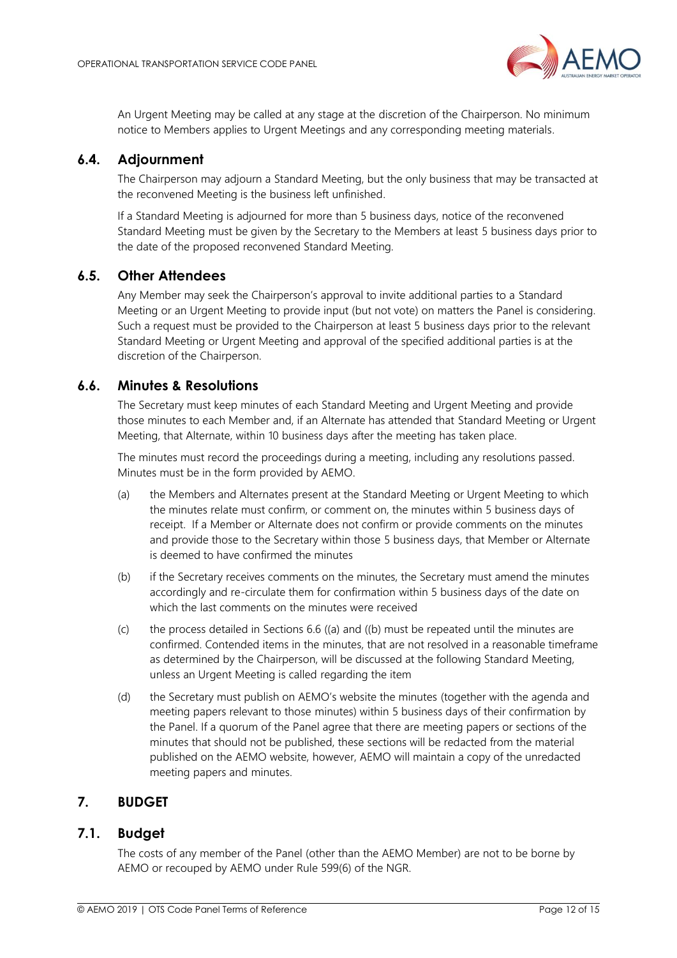

An Urgent Meeting may be called at any stage at the discretion of the Chairperson. No minimum notice to Members applies to Urgent Meetings and any corresponding meeting materials.

#### <span id="page-11-0"></span>**6.4. Adjournment**

The Chairperson may adjourn a Standard Meeting, but the only business that may be transacted at the reconvened Meeting is the business left unfinished.

If a Standard Meeting is adjourned for more than 5 business days, notice of the reconvened Standard Meeting must be given by the Secretary to the Members at least 5 business days prior to the date of the proposed reconvened Standard Meeting.

#### <span id="page-11-1"></span>**6.5. Other Attendees**

Any Member may seek the Chairperson's approval to invite additional parties to a Standard Meeting or an Urgent Meeting to provide input (but not vote) on matters the Panel is considering. Such a request must be provided to the Chairperson at least 5 business days prior to the relevant Standard Meeting or Urgent Meeting and approval of the specified additional parties is at the discretion of the Chairperson.

#### <span id="page-11-2"></span>**6.6. Minutes & Resolutions**

The Secretary must keep minutes of each Standard Meeting and Urgent Meeting and provide those minutes to each Member and, if an Alternate has attended that Standard Meeting or Urgent Meeting, that Alternate, within 10 business days after the meeting has taken place.

The minutes must record the proceedings during a meeting, including any resolutions passed. Minutes must be in the form provided by AEMO.

- <span id="page-11-5"></span>(a) the Members and Alternates present at the Standard Meeting or Urgent Meeting to which the minutes relate must confirm, or comment on, the minutes within 5 business days of receipt. If a Member or Alternate does not confirm or provide comments on the minutes and provide those to the Secretary within those 5 business days, that Member or Alternate is deemed to have confirmed the minutes
- <span id="page-11-6"></span>(b) if the Secretary receives comments on the minutes, the Secretary must amend the minutes accordingly and re-circulate them for confirmation within 5 business days of the date on which the last comments on the minutes were received
- (c) the process detailed in Sections 6.6 [\(\(a\)](#page-11-5) and [\(\(b\)](#page-11-6) must be repeated until the minutes are confirmed. Contended items in the minutes, that are not resolved in a reasonable timeframe as determined by the Chairperson, will be discussed at the following Standard Meeting, unless an Urgent Meeting is called regarding the item
- (d) the Secretary must publish on AEMO's website the minutes (together with the agenda and meeting papers relevant to those minutes) within 5 business days of their confirmation by the Panel. If a quorum of the Panel agree that there are meeting papers or sections of the minutes that should not be published, these sections will be redacted from the material published on the AEMO website, however, AEMO will maintain a copy of the unredacted meeting papers and minutes.

# <span id="page-11-3"></span>**7. BUDGET**

#### <span id="page-11-4"></span>**7.1. Budget**

The costs of any member of the Panel (other than the AEMO Member) are not to be borne by AEMO or recouped by AEMO under Rule 599(6) of the NGR.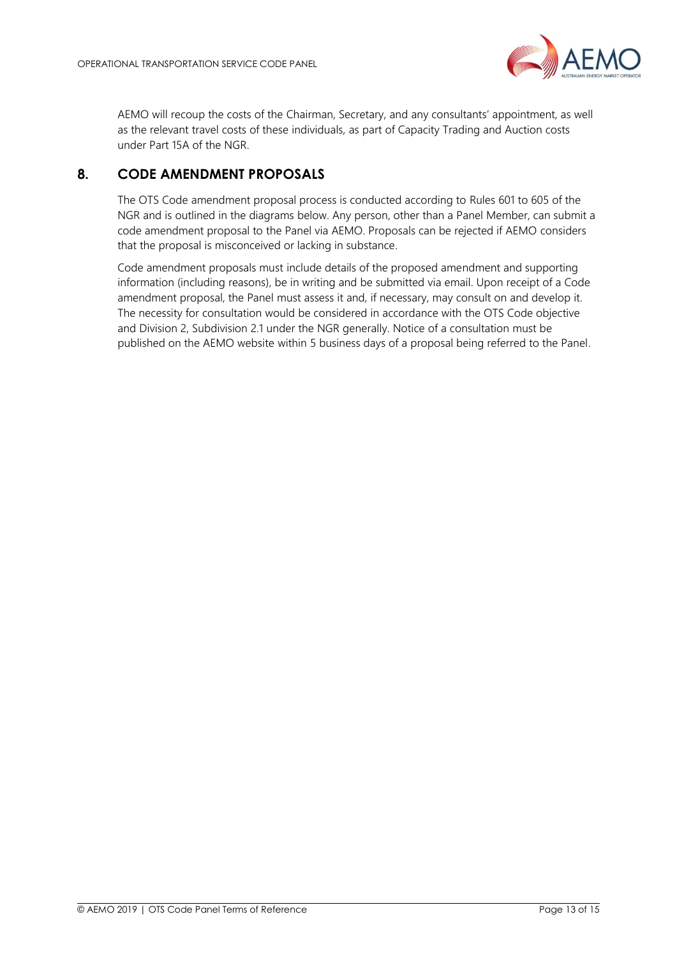

AEMO will recoup the costs of the Chairman, Secretary, and any consultants' appointment, as well as the relevant travel costs of these individuals, as part of Capacity Trading and Auction costs under Part 15A of the NGR.

# <span id="page-12-0"></span>**8. CODE AMENDMENT PROPOSALS**

The OTS Code amendment proposal process is conducted according to Rules 601 to 605 of the NGR and is outlined in the diagrams below. Any person, other than a Panel Member, can submit a code amendment proposal to the Panel via AEMO. Proposals can be rejected if AEMO considers that the proposal is misconceived or lacking in substance.

Code amendment proposals must include details of the proposed amendment and supporting information (including reasons), be in writing and be submitted via email. Upon receipt of a Code amendment proposal, the Panel must assess it and, if necessary, may consult on and develop it. The necessity for consultation would be considered in accordance with the OTS Code objective and Division 2, Subdivision 2.1 under the NGR generally. Notice of a consultation must be published on the AEMO website within 5 business days of a proposal being referred to the Panel.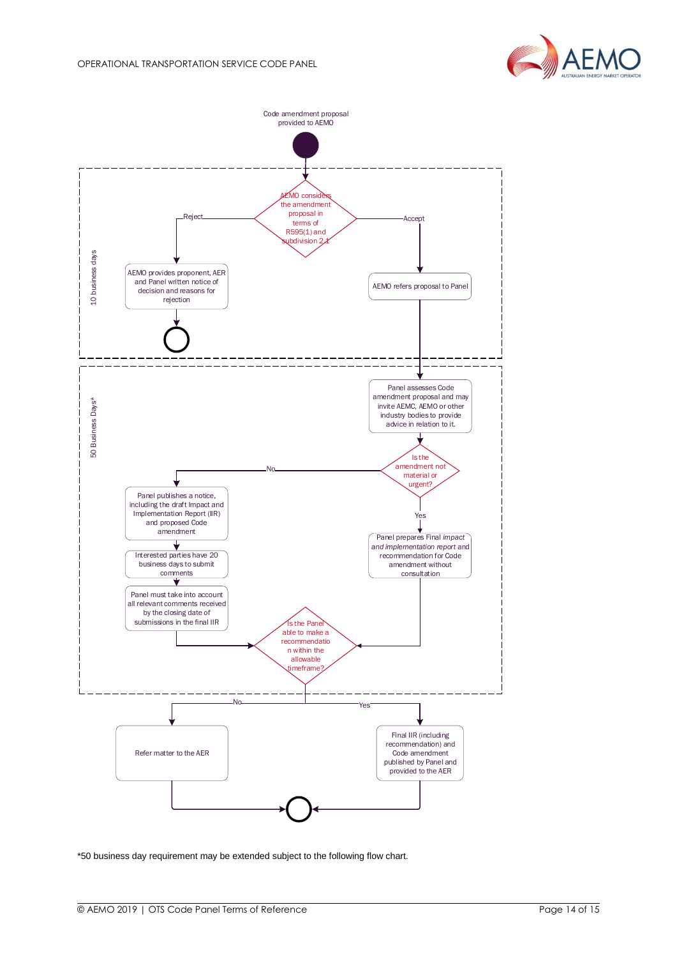



\*50 business day requirement may be extended subject to the following flow chart.